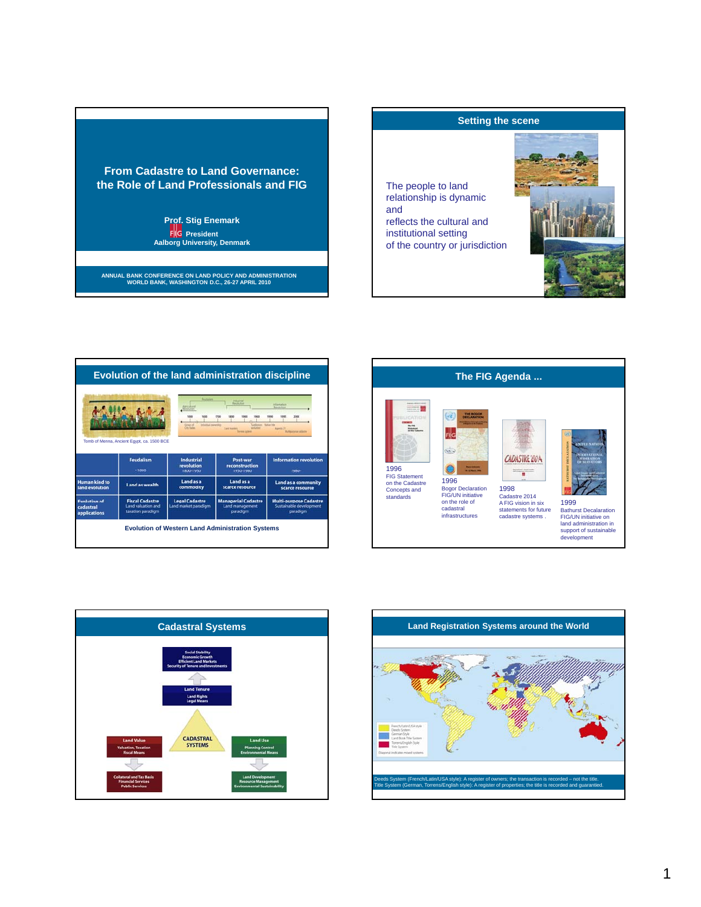



|                                        |                                                                          | Taurulan                                      | Febatria<br><b>Secrit Alice</b>                           |                                                                      |
|----------------------------------------|--------------------------------------------------------------------------|-----------------------------------------------|-----------------------------------------------------------|----------------------------------------------------------------------|
|                                        |                                                                          | <b>MATILER</b>                                |                                                           | <b>Information</b><br><b>Neighbor</b>                                |
|                                        |                                                                          | <b>Industrial Interaction</b>                 |                                                           | 3000<br><b>Callie Vie</b>                                            |
|                                        |                                                                          | <b><i><u>Present</u></i></b>                  | and market                                                |                                                                      |
|                                        |                                                                          |                                               |                                                           |                                                                      |
|                                        | Tomb of Menna, Ancient Egypt, ca. 1500 BCE                               |                                               |                                                           |                                                                      |
|                                        |                                                                          |                                               |                                                           |                                                                      |
|                                        | <b>Feudalism</b>                                                         | <b>Industrial</b>                             | Post-war                                                  | <b>Information revolution</b>                                        |
|                                        |                                                                          |                                               |                                                           |                                                                      |
|                                        |                                                                          | revolution                                    | reconstruction                                            |                                                                      |
|                                        | $-1800$                                                                  | 1800-1950                                     | 1950-1980                                                 | 1980-                                                                |
|                                        |                                                                          | Land as a                                     | Land as a                                                 |                                                                      |
|                                        | Land as wealth                                                           | commodity                                     | scarce resource                                           | <b>Land as a community</b><br>scarce resource                        |
| <b>Human kind to</b><br>land evolution |                                                                          |                                               |                                                           |                                                                      |
| <b>Evolution of</b><br>cadastral       | <b>Fiscal Cadastre</b><br><b>Land valuation and</b><br>taxation paradigm | <b>Legal Cadastre</b><br>Land market paradigm | <b>Managerial Cadastre</b><br>Land management<br>paradigm | <b>Multi-purpose Cadastre</b><br>Sustainable development<br>paradigm |





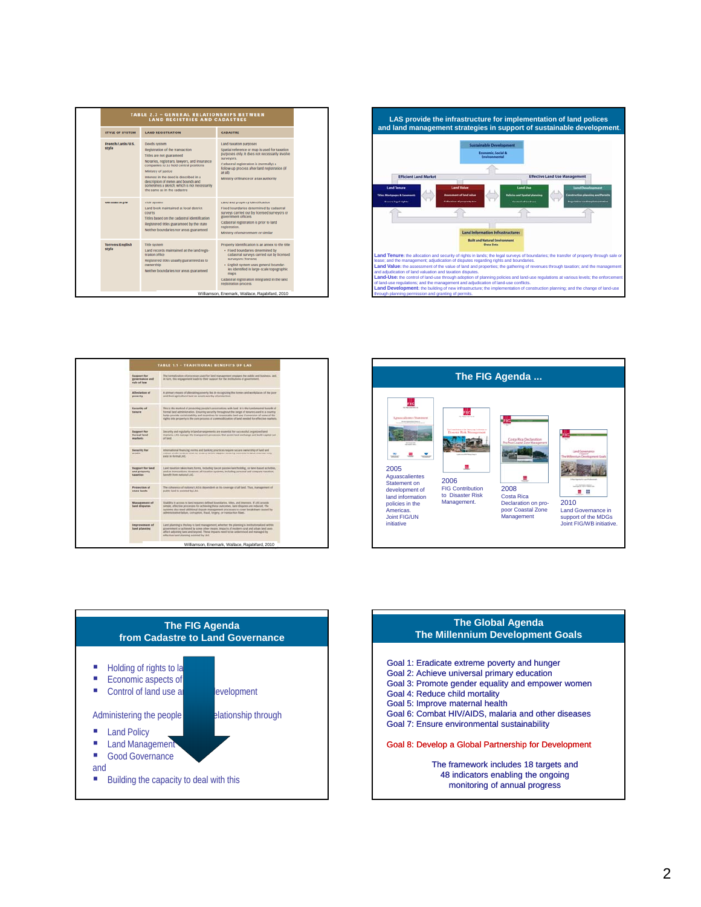| <b>TABLE 2.3 - GENERAL RELATIONSHIPS BETWEEN</b><br><b>LAND REGISTRIES AND CADASTRES</b> |                                                                                                                                                                                                                                                                                                                                                                |                                                                                                                                                                                                                                                                                                                                  |  |  |  |
|------------------------------------------------------------------------------------------|----------------------------------------------------------------------------------------------------------------------------------------------------------------------------------------------------------------------------------------------------------------------------------------------------------------------------------------------------------------|----------------------------------------------------------------------------------------------------------------------------------------------------------------------------------------------------------------------------------------------------------------------------------------------------------------------------------|--|--|--|
| <b>STYLE OF SYSTEM</b>                                                                   | <b>LAND REGISTRATION</b>                                                                                                                                                                                                                                                                                                                                       | <b>CADASTRE</b>                                                                                                                                                                                                                                                                                                                  |  |  |  |
| Eranch/Latin/U.S.<br>style                                                               | Deeds system<br>Registration of the transaction<br>Titles are not guaranteed<br>Notaries, registrars, lawyers, and insurance<br>companies (U.S.) hold central positions<br>Ministry of justice<br>Interest in the deed is described in a<br>description of metes and bounds and<br>sometimes a sketch, which is not necessarily<br>the same as in the cadastre | Land taxation purposes<br>Spatial reference or map is used for taxation<br>purposes only. It does not necessarily involve<br>surveyors.<br>Cadastral registration is inormally) a<br>follow-up process after land registration (if<br>at alla<br>Ministry of finance or a tax authority                                          |  |  |  |
| German style                                                                             | <b>Title system</b><br>Land book maintained at local district<br><b>COUPRS</b><br>Titles based on the cadastral identification<br>Registered titles guaranteed by the state<br>Neither boundaries nor areas guaranteed                                                                                                                                         | Land and property identification<br>Fixed boundaries determined by cadastral<br>surveys carried out by licensed surveyors or<br>government officers<br>Cadastral registration is prior to land<br>registration.<br>Ministry of environment or similar                                                                            |  |  |  |
| <b>Torrens/English</b><br>style                                                          | Title system<br>Land records maintained at the land regis-<br>tration office<br>Registered titles usually guaranteed as to<br>ownership<br>Neither boundaries nor areas guaranteed                                                                                                                                                                             | Property identification is an annex to the title<br>· Fixed boundaries determined by<br>cadastral surveys carried out by licensed<br>surveyors (Torrens)<br>· English system uses general boundar-<br>ies identified in large-scale topographic<br>maps<br>Cadastral registration integrated in the land<br>registration process |  |  |  |
|                                                                                          | Williamson, Enemark, Wallace, Raiabifard, 2010                                                                                                                                                                                                                                                                                                                 |                                                                                                                                                                                                                                                                                                                                  |  |  |  |









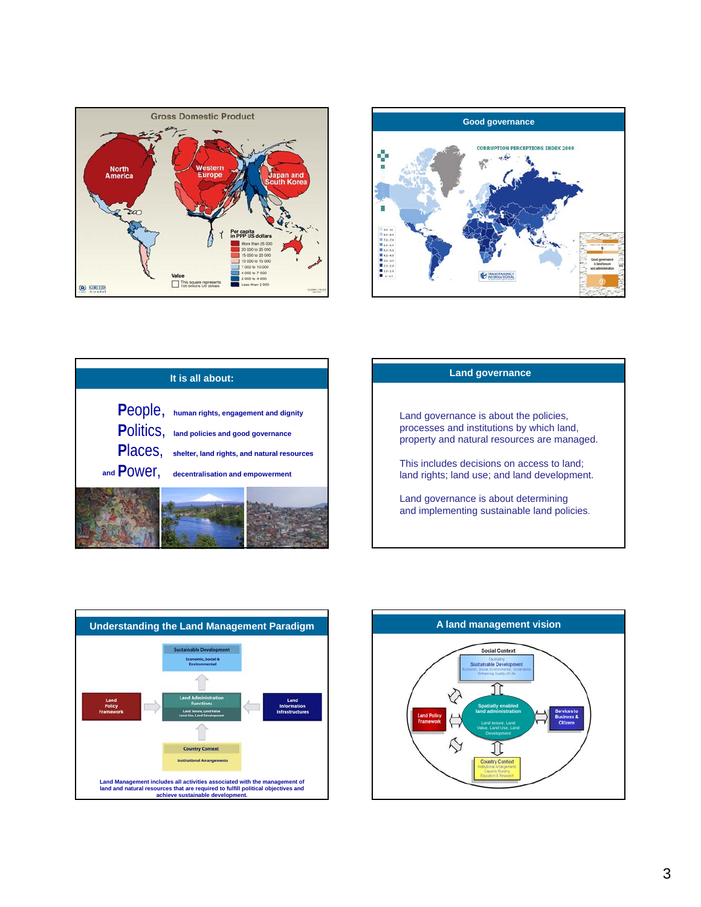









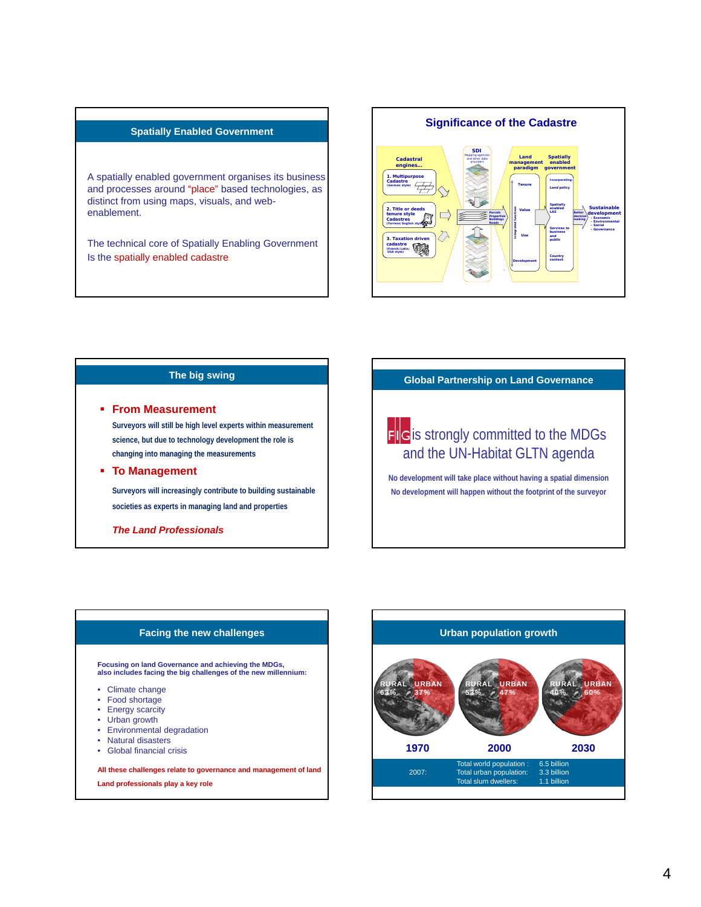#### **Spatially Enabled Government**

A spatially enabled government organises its business and processes around "place" based technologies, as distinct from using maps, visuals, and webenablement.

The technical core of Spatially Enabling Government Is the spatially enabled cadastre.



#### **The big swing**

#### **From Measurement**

**Surveyors will still be high level experts within measurement science, but due to technology development the role is changing into managing the measurements**

### **To Management**

**Surveyors will increasingly contribute to building sustainable societies as experts in managing land and properties**

### *The Land Professionals*

## **Global Partnership on Land Governance**

# **FIG** is strongly committed to the MDGs and the UN-Habitat GLTN agenda

**No development will take place without having a spatial dimension No development will happen without the footprint of the surveyor**

## **Facing the new challenges**

**Focusing on land Governance and achieving the MDGs, also includes facing the big challenges of the new millennium:**

- Climate change
- Food shortage
- Energy scarcity
- Urban growth
- Environmental degradation
- Natural disasters
- Global financial crisis

**All these challenges relate to governance and management of land** 

**Land professionals play a key role**

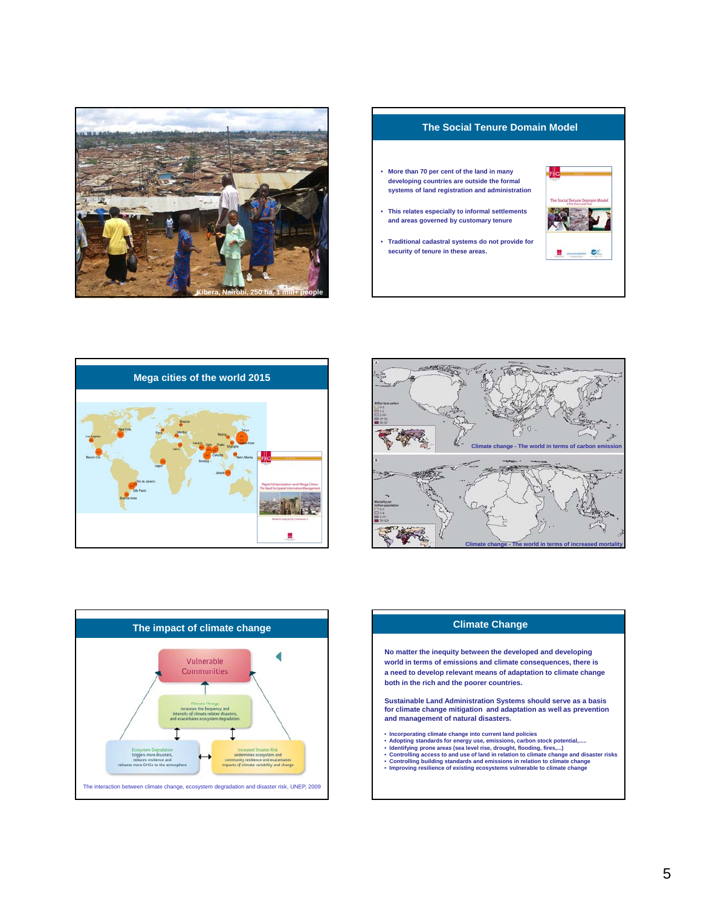









## **Climate Change**

**No matter the inequity between the developed and developing world in terms of emissions and climate consequences, there is a need to develop relevant means of adaptation to climate change both in the rich and the poorer countries.** 

**Sustainable Land Administration Systems should serve as a basis for climate change mitigation and adaptation as well as prevention and management of natural disasters.**

- 
- 
- 
- Incorporating climate change into current land policies<br>• Adopting standards for energy use, emissions, carbon stock potential,.....<br>• Identifying prone areas (sea level rise, drought, flooding, fires,...)<br>• Controlling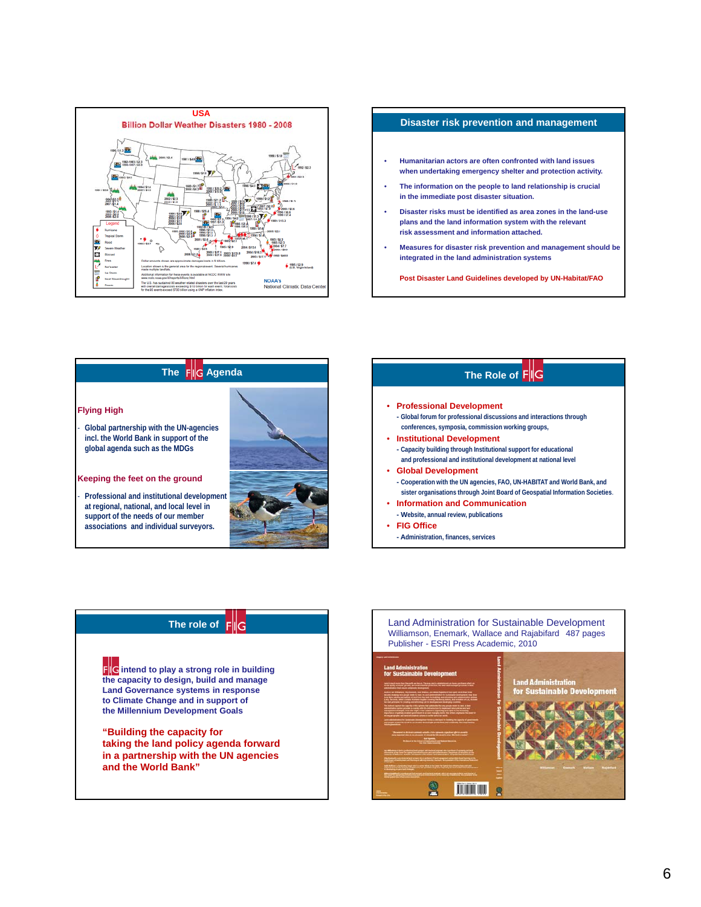







## **The role of**

**i intend to play a strong role in building the capacity to design, build and manage Land Governance systems in response** to Climate Change and in support of **the Millennium Development Goals**

**"Building the capacity for taking the land policy agenda forward in a partnership with the UN agencies and the World Bank"**

Land Administration for Sustainable Development Williamson, Enemark, Wallace and Rajabifard 487 pages Publisher - ESRI Press Academic, 2010